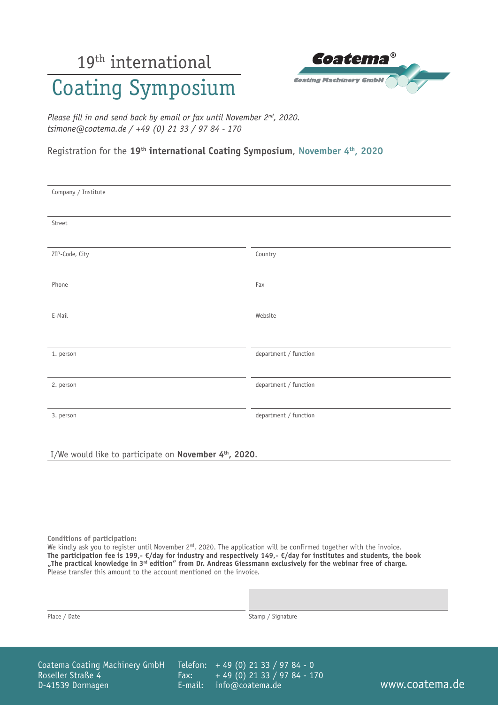# 19<sup>th</sup> international

## Coating Symposium

| coatema®                      |  |
|-------------------------------|--|
| <b>Coating Machinery GmbH</b> |  |

*Please fill in and send back by email or fax until November 2nd, 2020. tsimone@coatema.de / +49 (0) 21 33 / 97 84 - 170*

#### Registration for the **19th international Coating Symposium**, **November 4th, 2020**

| Company / Institute |                       |
|---------------------|-----------------------|
| Street              |                       |
|                     |                       |
| ZIP-Code, City      | Country               |
| Phone               | Fax                   |
| E-Mail              | Website               |
|                     |                       |
| 1. person           | department / function |
| 2. person           | department / function |
| 3. person           | department / function |
|                     |                       |

I/We would like to participate on **November 4th, 2020**.

**Conditions of participation:**

We kindly ask you to register until November 2nd, 2020. The application will be confirmed together with the invoice. **The participation fee is 199,- €/day for industry and respectively 149,- €/day for institutes and students, the book "The practical knowledge in 3rd edition" from Dr. Andreas Giessmann exclusively for the webinar free of charge.** Please transfer this amount to the account mentioned on the invoice.

| <b>Place</b> |  | / Date |
|--------------|--|--------|
|--------------|--|--------|

Stamp / Signature

Coatema Coating Machinery GmbH Roseller Straße 4 D-41539 Dormagen

Telefon: + 49 (0) 21 33 / 97 84 - 0 Fax: E-mail: + 49 (0) 21 33 / 97 84 - 170 info@coatema.de www.coatema.de